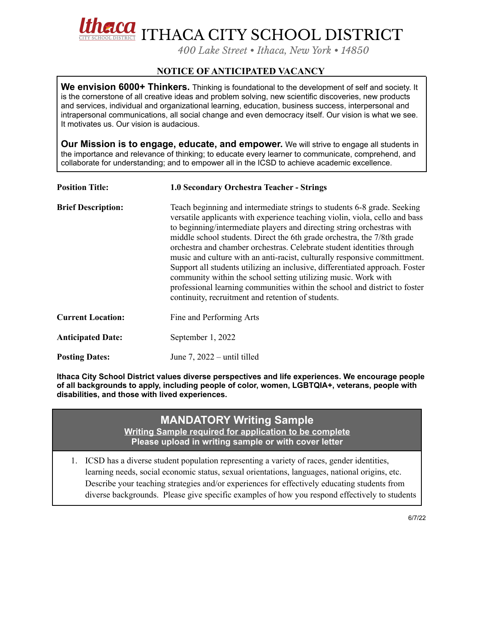**CO** ITHACA CITY SCHOOL DISTRICT

*400 Lake Street • Ithaca, New York • 14850*

## **NOTICE OF ANTICIPATED VACANCY**

**We envision 6000+ Thinkers.** Thinking is foundational to the development of self and society. It is the cornerstone of all creative ideas and problem solving, new scientific discoveries, new products and services, individual and organizational learning, education, business success, interpersonal and intrapersonal communications, all social change and even democracy itself. Our vision is what we see. It motivates us. Our vision is audacious.

**Our Mission is to engage, educate, and empower.** We will strive to engage all students in the importance and relevance of thinking; to educate every learner to communicate, comprehend, and collaborate for understanding; and to empower all in the ICSD to achieve academic excellence.

| <b>Position Title:</b>    | <b>1.0 Secondary Orchestra Teacher - Strings</b>                                                                                                                                                                                                                                                                                                                                                                                                                                                                                                                                                                                                                                                                                                         |
|---------------------------|----------------------------------------------------------------------------------------------------------------------------------------------------------------------------------------------------------------------------------------------------------------------------------------------------------------------------------------------------------------------------------------------------------------------------------------------------------------------------------------------------------------------------------------------------------------------------------------------------------------------------------------------------------------------------------------------------------------------------------------------------------|
| <b>Brief Description:</b> | Teach beginning and intermediate strings to students 6-8 grade. Seeking<br>versatile applicants with experience teaching violin, viola, cello and bass<br>to beginning/intermediate players and directing string orchestras with<br>middle school students. Direct the 6th grade orchestra, the 7/8th grade<br>orchestra and chamber orchestras. Celebrate student identities through<br>music and culture with an anti-racist, culturally responsive committment.<br>Support all students utilizing an inclusive, differentiated approach. Foster<br>community within the school setting utilizing music. Work with<br>professional learning communities within the school and district to foster<br>continuity, recruitment and retention of students. |
| <b>Current Location:</b>  | Fine and Performing Arts                                                                                                                                                                                                                                                                                                                                                                                                                                                                                                                                                                                                                                                                                                                                 |
| <b>Anticipated Date:</b>  | September 1, 2022                                                                                                                                                                                                                                                                                                                                                                                                                                                                                                                                                                                                                                                                                                                                        |
| <b>Posting Dates:</b>     | June $7, 2022$ – until tilled                                                                                                                                                                                                                                                                                                                                                                                                                                                                                                                                                                                                                                                                                                                            |

**Ithaca City School District values diverse perspectives and life experiences. We encourage people of all backgrounds to apply, including people of color, women, LGBTQIA+, veterans, people with disabilities, and those with lived experiences.**

## **MANDATORY Writing Sample**

**Writing Sample required for application to be complete Please upload in writing sample or with cover letter**

1. ICSD has a diverse student population representing a variety of races, gender identities, learning needs, social economic status, sexual orientations, languages, national origins, etc. Describe your teaching strategies and/or experiences for effectively educating students from diverse backgrounds. Please give specific examples of how you respond effectively to students